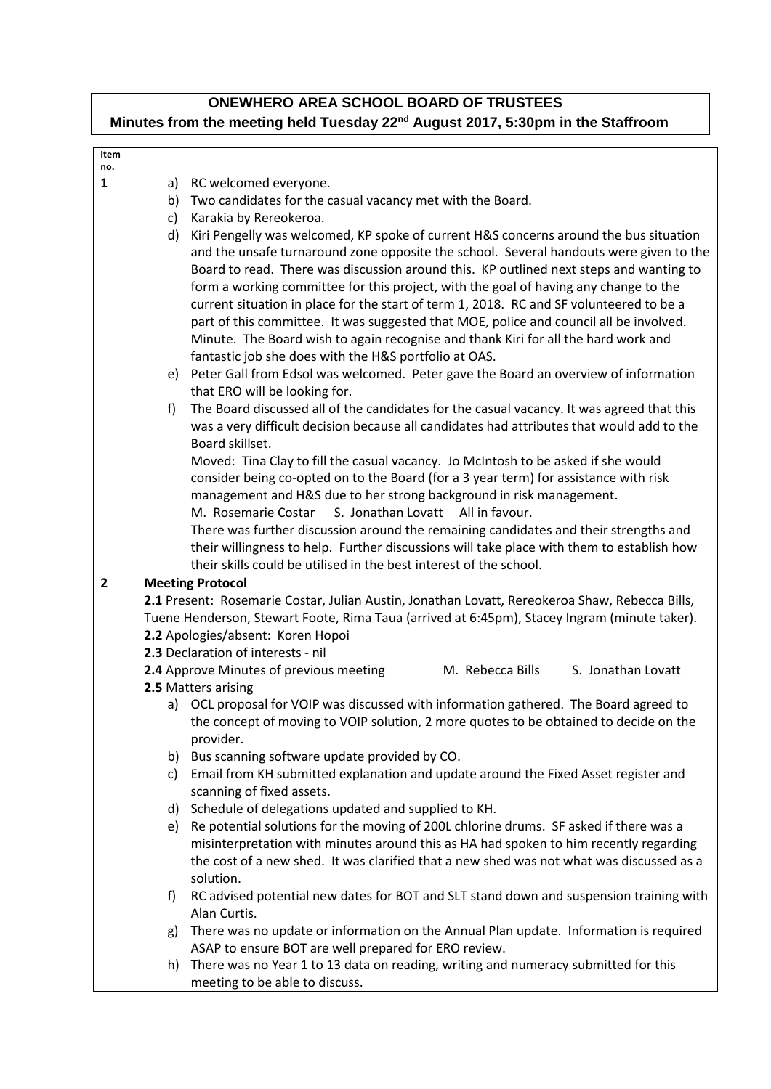## **ONEWHERO AREA SCHOOL BOARD OF TRUSTEES Minutes from the meeting held Tuesday 22nd August 2017, 5:30pm in the Staffroom**

| Item<br>no.    |    |                                                                                                                                                                                   |
|----------------|----|-----------------------------------------------------------------------------------------------------------------------------------------------------------------------------------|
| $\mathbf{1}$   | a) | RC welcomed everyone.                                                                                                                                                             |
|                | b) | Two candidates for the casual vacancy met with the Board.                                                                                                                         |
|                | c) | Karakia by Rereokeroa.                                                                                                                                                            |
|                | d) | Kiri Pengelly was welcomed, KP spoke of current H&S concerns around the bus situation                                                                                             |
|                |    | and the unsafe turnaround zone opposite the school. Several handouts were given to the                                                                                            |
|                |    | Board to read. There was discussion around this. KP outlined next steps and wanting to                                                                                            |
|                |    | form a working committee for this project, with the goal of having any change to the                                                                                              |
|                |    | current situation in place for the start of term 1, 2018. RC and SF volunteered to be a<br>part of this committee. It was suggested that MOE, police and council all be involved. |
|                |    | Minute. The Board wish to again recognise and thank Kiri for all the hard work and                                                                                                |
|                |    | fantastic job she does with the H&S portfolio at OAS.                                                                                                                             |
|                |    | e) Peter Gall from Edsol was welcomed. Peter gave the Board an overview of information                                                                                            |
|                |    | that ERO will be looking for.                                                                                                                                                     |
|                | f) | The Board discussed all of the candidates for the casual vacancy. It was agreed that this                                                                                         |
|                |    | was a very difficult decision because all candidates had attributes that would add to the                                                                                         |
|                |    | Board skillset.                                                                                                                                                                   |
|                |    | Moved: Tina Clay to fill the casual vacancy. Jo McIntosh to be asked if she would                                                                                                 |
|                |    | consider being co-opted on to the Board (for a 3 year term) for assistance with risk                                                                                              |
|                |    | management and H&S due to her strong background in risk management.<br>M. Rosemarie Costar<br>S. Jonathan Lovatt All in favour.                                                   |
|                |    | There was further discussion around the remaining candidates and their strengths and                                                                                              |
|                |    | their willingness to help. Further discussions will take place with them to establish how                                                                                         |
|                |    | their skills could be utilised in the best interest of the school.                                                                                                                |
| $\overline{2}$ |    | <b>Meeting Protocol</b>                                                                                                                                                           |
|                |    | 2.1 Present: Rosemarie Costar, Julian Austin, Jonathan Lovatt, Rereokeroa Shaw, Rebecca Bills,                                                                                    |
|                |    | Tuene Henderson, Stewart Foote, Rima Taua (arrived at 6:45pm), Stacey Ingram (minute taker).                                                                                      |
|                |    | 2.2 Apologies/absent: Koren Hopoi                                                                                                                                                 |
|                |    | 2.3 Declaration of interests - nil                                                                                                                                                |
|                |    | 2.4 Approve Minutes of previous meeting<br>M. Rebecca Bills<br>S. Jonathan Lovatt<br>2.5 Matters arising                                                                          |
|                |    | a) OCL proposal for VOIP was discussed with information gathered. The Board agreed to                                                                                             |
|                |    | the concept of moving to VOIP solution, 2 more quotes to be obtained to decide on the                                                                                             |
|                |    | provider.                                                                                                                                                                         |
|                | b) | Bus scanning software update provided by CO.                                                                                                                                      |
|                | c) | Email from KH submitted explanation and update around the Fixed Asset register and                                                                                                |
|                |    | scanning of fixed assets.                                                                                                                                                         |
|                | d) | Schedule of delegations updated and supplied to KH.                                                                                                                               |
|                | e) | Re potential solutions for the moving of 200L chlorine drums. SF asked if there was a                                                                                             |
|                |    | misinterpretation with minutes around this as HA had spoken to him recently regarding                                                                                             |
|                |    | the cost of a new shed. It was clarified that a new shed was not what was discussed as a<br>solution.                                                                             |
|                | f) | RC advised potential new dates for BOT and SLT stand down and suspension training with                                                                                            |
|                |    | Alan Curtis.                                                                                                                                                                      |
|                | g) | There was no update or information on the Annual Plan update. Information is required                                                                                             |
|                |    | ASAP to ensure BOT are well prepared for ERO review.                                                                                                                              |
|                | h) | There was no Year 1 to 13 data on reading, writing and numeracy submitted for this                                                                                                |
|                |    | meeting to be able to discuss.                                                                                                                                                    |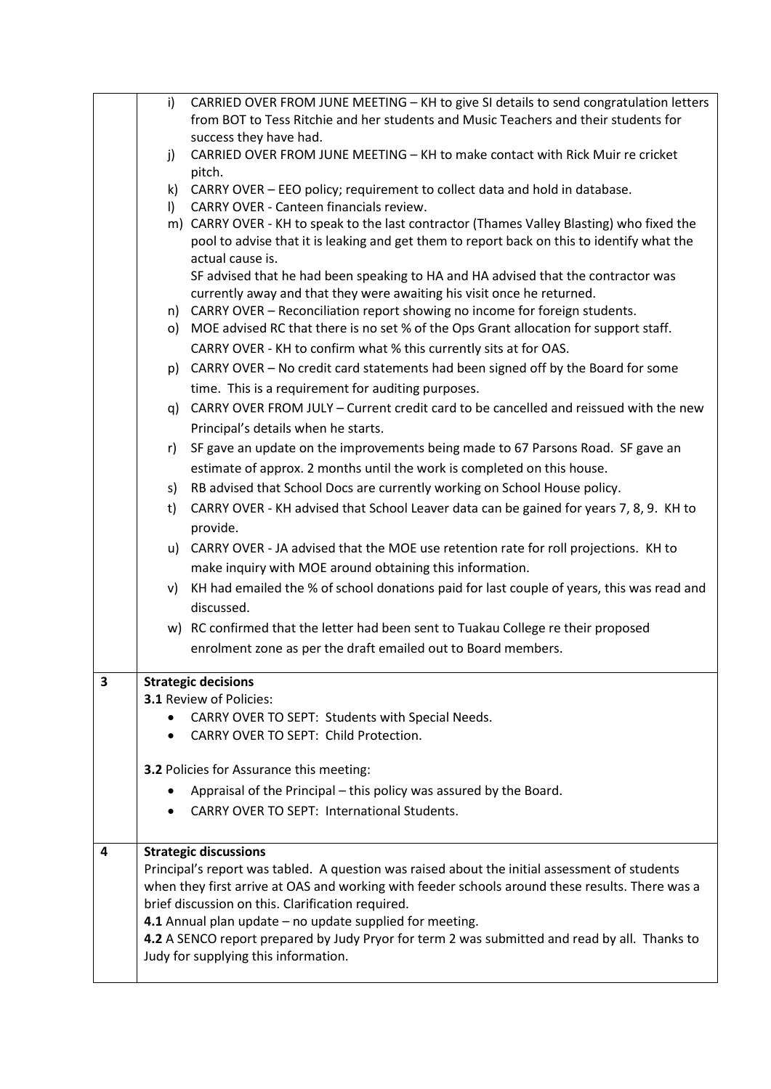|   | i)                                                                                              | CARRIED OVER FROM JUNE MEETING - KH to give SI details to send congratulation letters                                                                   |
|---|-------------------------------------------------------------------------------------------------|---------------------------------------------------------------------------------------------------------------------------------------------------------|
|   |                                                                                                 | from BOT to Tess Ritchie and her students and Music Teachers and their students for                                                                     |
|   |                                                                                                 | success they have had.                                                                                                                                  |
|   | j)                                                                                              | CARRIED OVER FROM JUNE MEETING - KH to make contact with Rick Muir re cricket<br>pitch.                                                                 |
|   |                                                                                                 | k) CARRY OVER - EEO policy; requirement to collect data and hold in database.                                                                           |
|   | $\vert$ )                                                                                       | CARRY OVER - Canteen financials review.                                                                                                                 |
|   |                                                                                                 | m) CARRY OVER - KH to speak to the last contractor (Thames Valley Blasting) who fixed the                                                               |
|   |                                                                                                 | pool to advise that it is leaking and get them to report back on this to identify what the                                                              |
|   |                                                                                                 | actual cause is.                                                                                                                                        |
|   |                                                                                                 | SF advised that he had been speaking to HA and HA advised that the contractor was                                                                       |
|   |                                                                                                 | currently away and that they were awaiting his visit once he returned.<br>n) CARRY OVER - Reconciliation report showing no income for foreign students. |
|   |                                                                                                 | o) MOE advised RC that there is no set % of the Ops Grant allocation for support staff.                                                                 |
|   |                                                                                                 | CARRY OVER - KH to confirm what % this currently sits at for OAS.                                                                                       |
|   |                                                                                                 | p) CARRY OVER - No credit card statements had been signed off by the Board for some                                                                     |
|   |                                                                                                 | time. This is a requirement for auditing purposes.                                                                                                      |
|   |                                                                                                 | g) CARRY OVER FROM JULY – Current credit card to be cancelled and reissued with the new                                                                 |
|   |                                                                                                 | Principal's details when he starts.                                                                                                                     |
|   | r)                                                                                              | SF gave an update on the improvements being made to 67 Parsons Road. SF gave an                                                                         |
|   |                                                                                                 | estimate of approx. 2 months until the work is completed on this house.                                                                                 |
|   |                                                                                                 | s) RB advised that School Docs are currently working on School House policy.                                                                            |
|   | t)                                                                                              | CARRY OVER - KH advised that School Leaver data can be gained for years 7, 8, 9. KH to                                                                  |
|   |                                                                                                 | provide.                                                                                                                                                |
|   |                                                                                                 | u) CARRY OVER - JA advised that the MOE use retention rate for roll projections. KH to                                                                  |
|   |                                                                                                 | make inquiry with MOE around obtaining this information.                                                                                                |
|   | V)                                                                                              | KH had emailed the % of school donations paid for last couple of years, this was read and                                                               |
|   |                                                                                                 | discussed.                                                                                                                                              |
|   |                                                                                                 | w) RC confirmed that the letter had been sent to Tuakau College re their proposed                                                                       |
|   |                                                                                                 | enrolment zone as per the draft emailed out to Board members.                                                                                           |
| 3 |                                                                                                 | <b>Strategic decisions</b>                                                                                                                              |
|   |                                                                                                 | <b>3.1 Review of Policies:</b>                                                                                                                          |
|   |                                                                                                 | CARRY OVER TO SEPT: Students with Special Needs.                                                                                                        |
|   |                                                                                                 | CARRY OVER TO SEPT: Child Protection.                                                                                                                   |
|   |                                                                                                 | <b>3.2 Policies for Assurance this meeting:</b>                                                                                                         |
|   |                                                                                                 | Appraisal of the Principal – this policy was assured by the Board.                                                                                      |
|   |                                                                                                 | <b>CARRY OVER TO SEPT: International Students.</b>                                                                                                      |
| 4 |                                                                                                 | <b>Strategic discussions</b>                                                                                                                            |
|   |                                                                                                 | Principal's report was tabled. A question was raised about the initial assessment of students                                                           |
|   | when they first arrive at OAS and working with feeder schools around these results. There was a |                                                                                                                                                         |
|   |                                                                                                 | brief discussion on this. Clarification required.                                                                                                       |
|   |                                                                                                 | 4.1 Annual plan update - no update supplied for meeting.                                                                                                |
|   |                                                                                                 | 4.2 A SENCO report prepared by Judy Pryor for term 2 was submitted and read by all. Thanks to<br>Judy for supplying this information.                   |
|   |                                                                                                 |                                                                                                                                                         |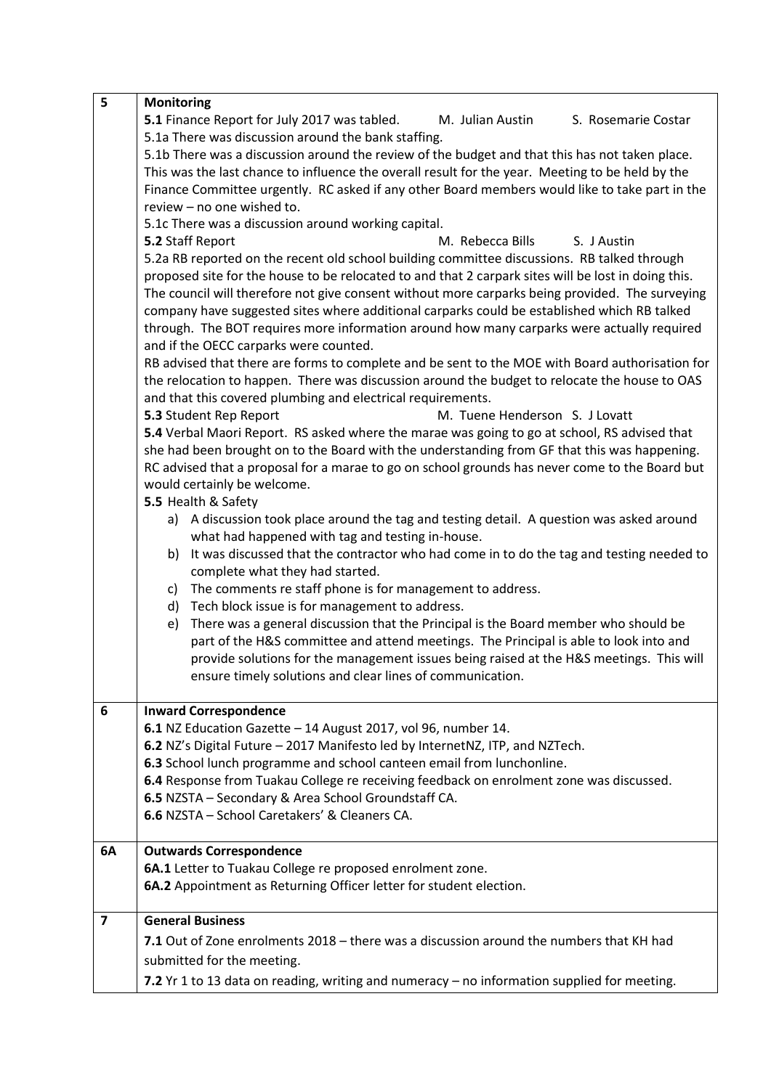| 5                       | <b>Monitoring</b>                                                                                   |  |  |  |  |
|-------------------------|-----------------------------------------------------------------------------------------------------|--|--|--|--|
|                         | 5.1 Finance Report for July 2017 was tabled.<br>M. Julian Austin<br>S. Rosemarie Costar             |  |  |  |  |
|                         | 5.1a There was discussion around the bank staffing.                                                 |  |  |  |  |
|                         | 5.1b There was a discussion around the review of the budget and that this has not taken place.      |  |  |  |  |
|                         | This was the last chance to influence the overall result for the year. Meeting to be held by the    |  |  |  |  |
|                         | Finance Committee urgently. RC asked if any other Board members would like to take part in the      |  |  |  |  |
|                         | review - no one wished to.                                                                          |  |  |  |  |
|                         | 5.1c There was a discussion around working capital.                                                 |  |  |  |  |
|                         | S. J Austin<br>5.2 Staff Report<br>M. Rebecca Bills                                                 |  |  |  |  |
|                         | 5.2a RB reported on the recent old school building committee discussions. RB talked through         |  |  |  |  |
|                         | proposed site for the house to be relocated to and that 2 carpark sites will be lost in doing this. |  |  |  |  |
|                         | The council will therefore not give consent without more carparks being provided. The surveying     |  |  |  |  |
|                         | company have suggested sites where additional carparks could be established which RB talked         |  |  |  |  |
|                         | through. The BOT requires more information around how many carparks were actually required          |  |  |  |  |
|                         | and if the OECC carparks were counted.                                                              |  |  |  |  |
|                         | RB advised that there are forms to complete and be sent to the MOE with Board authorisation for     |  |  |  |  |
|                         | the relocation to happen. There was discussion around the budget to relocate the house to OAS       |  |  |  |  |
|                         | and that this covered plumbing and electrical requirements.                                         |  |  |  |  |
|                         | M. Tuene Henderson S. J Lovatt<br>5.3 Student Rep Report                                            |  |  |  |  |
|                         | 5.4 Verbal Maori Report. RS asked where the marae was going to go at school, RS advised that        |  |  |  |  |
|                         | she had been brought on to the Board with the understanding from GF that this was happening.        |  |  |  |  |
|                         | RC advised that a proposal for a marae to go on school grounds has never come to the Board but      |  |  |  |  |
|                         | would certainly be welcome.                                                                         |  |  |  |  |
|                         | 5.5 Health & Safety                                                                                 |  |  |  |  |
|                         | a) A discussion took place around the tag and testing detail. A question was asked around           |  |  |  |  |
|                         | what had happened with tag and testing in-house.                                                    |  |  |  |  |
|                         | It was discussed that the contractor who had come in to do the tag and testing needed to<br>b)      |  |  |  |  |
|                         | complete what they had started.                                                                     |  |  |  |  |
|                         | c) The comments re staff phone is for management to address.                                        |  |  |  |  |
|                         | d) Tech block issue is for management to address.                                                   |  |  |  |  |
|                         | There was a general discussion that the Principal is the Board member who should be<br>e)           |  |  |  |  |
|                         | part of the H&S committee and attend meetings. The Principal is able to look into and               |  |  |  |  |
|                         | provide solutions for the management issues being raised at the H&S meetings. This will             |  |  |  |  |
|                         | ensure timely solutions and clear lines of communication.                                           |  |  |  |  |
|                         |                                                                                                     |  |  |  |  |
| 6                       | <b>Inward Correspondence</b>                                                                        |  |  |  |  |
|                         | 6.1 NZ Education Gazette - 14 August 2017, vol 96, number 14.                                       |  |  |  |  |
|                         | 6.2 NZ's Digital Future - 2017 Manifesto led by InternetNZ, ITP, and NZTech.                        |  |  |  |  |
|                         | 6.3 School lunch programme and school canteen email from lunchonline.                               |  |  |  |  |
|                         | 6.4 Response from Tuakau College re receiving feedback on enrolment zone was discussed.             |  |  |  |  |
|                         | 6.5 NZSTA - Secondary & Area School Groundstaff CA.                                                 |  |  |  |  |
|                         | 6.6 NZSTA - School Caretakers' & Cleaners CA.                                                       |  |  |  |  |
|                         |                                                                                                     |  |  |  |  |
| 6A                      | <b>Outwards Correspondence</b>                                                                      |  |  |  |  |
|                         | 6A.1 Letter to Tuakau College re proposed enrolment zone.                                           |  |  |  |  |
|                         | 6A.2 Appointment as Returning Officer letter for student election.                                  |  |  |  |  |
| $\overline{\mathbf{z}}$ | <b>General Business</b>                                                                             |  |  |  |  |
|                         | 7.1 Out of Zone enrolments 2018 - there was a discussion around the numbers that KH had             |  |  |  |  |
|                         | submitted for the meeting.                                                                          |  |  |  |  |
|                         |                                                                                                     |  |  |  |  |
|                         | 7.2 Yr 1 to 13 data on reading, writing and numeracy - no information supplied for meeting.         |  |  |  |  |